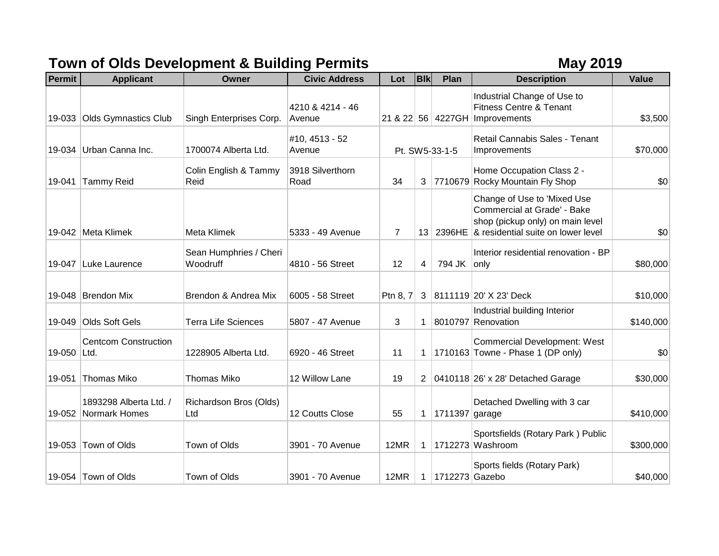## **Town of Olds Development & Building Permits May 2019**

| Permit      | <b>Applicant</b>                        | Owner                              | <b>Civic Address</b>       | Lot            | <b>B</b> IK    | Plan           | <b>Description</b>                                                                                                                             | <b>Value</b> |
|-------------|-----------------------------------------|------------------------------------|----------------------------|----------------|----------------|----------------|------------------------------------------------------------------------------------------------------------------------------------------------|--------------|
| 19-033      | <b>Olds Gymnastics Club</b>             | Singh Enterprises Corp.            | 4210 & 4214 - 46<br>Avenue |                |                |                | Industrial Change of Use to<br>Fitness Centre & Tenant<br>21 & 22 56 4227GH Improvements                                                       | \$3,500      |
|             | 19-034 Urban Canna Inc.                 | 1700074 Alberta Ltd.               | #10, 4513 - 52<br>Avenue   | Pt. SW5-33-1-5 |                |                | Retail Cannabis Sales - Tenant<br>Improvements                                                                                                 | \$70,000     |
| 19-041      | <b>Tammy Reid</b>                       | Colin English & Tammy<br>Reid      | 3918 Silverthorn<br>Road   | 34             | 3              |                | Home Occupation Class 2 -<br>7710679 Rocky Mountain Fly Shop                                                                                   | \$0          |
|             | 19-042 Meta Klimek                      | Meta Klimek                        | 5333 - 49 Avenue           | $\overline{7}$ |                |                | Change of Use to 'Mixed Use<br>Commercial at Grade' - Bake<br>shop (pickup only) on main level<br>13 2396HE & residential suite on lower level | \$0          |
| 19-047      | Luke Laurence                           | Sean Humphries / Cheri<br>Woodruff | 4810 - 56 Street           | 12             | 4              | 794 JK only    | Interior residential renovation - BP                                                                                                           | \$80,000     |
|             | 19-048 Brendon Mix                      | Brendon & Andrea Mix               | 6005 - 58 Street           | Ptn 8, 7       | 3              |                | 8111119 20' X 23' Deck                                                                                                                         | \$10,000     |
|             | 19-049 Olds Soft Gels                   | <b>Terra Life Sciences</b>         | 5807 - 47 Avenue           | 3              | 1              |                | Industrial building Interior<br>8010797 Renovation                                                                                             | \$140,000    |
| 19-050 Ltd. | <b>Centcom Construction</b>             | 1228905 Alberta Ltd.               | 6920 - 46 Street           | 11             | 1              |                | <b>Commercial Development: West</b><br>1710163 Towne - Phase 1 (DP only)                                                                       | \$0          |
| 19-051      | Thomas Miko                             | <b>Thomas Miko</b>                 | 12 Willow Lane             | 19             | $\overline{2}$ |                | 0410118 26' x 28' Detached Garage                                                                                                              | \$30,000     |
| 19-052      | 1893298 Alberta Ltd. /<br>Normark Homes | Richardson Bros (Olds)<br>Ltd      | 12 Coutts Close            | 55             | 1              | 1711397 garage | Detached Dwelling with 3 car                                                                                                                   | \$410,000    |
|             | 19-053 Town of Olds                     | Town of Olds                       | 3901 - 70 Avenue           | 12MR           | $\mathbf 1$    |                | Sportsfields (Rotary Park) Public<br>1712273 Washroom                                                                                          | \$300,000    |
|             | 19-054 Town of Olds                     | Town of Olds                       | 3901 - 70 Avenue           | 12MR           | 1              | 1712273 Gazebo | Sports fields (Rotary Park)                                                                                                                    | \$40,000     |